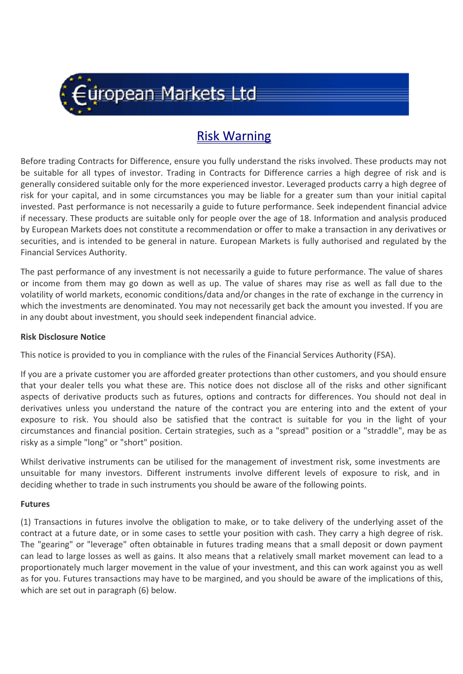

# Risk Warning

Before trading Contracts for Difference, ensure you fully understand the risks involved. These products may not be suitable for all types of investor. Trading in Contracts for Difference carries a high degree of risk and is generally considered suitable only for the more experienced investor. Leveraged products carry a high degree of risk for your capital, and in some circumstances you may be liable for a greater sum than your initial capital invested. Past performance is not necessarily a guide to future performance. Seek independent financial advice if necessary. These products are suitable only for people over the age of 18. Information and analysis produced by European Markets does not constitute a recommendation or offer to make a transaction in any derivatives or securities, and is intended to be general in nature. European Markets is fully authorised and regulated by the Financial Services Authority.

The past performance of any investment is not necessarily a guide to future performance. The value of shares or income from them may go down as well as up. The value of shares may rise as well as fall due to the volatility of world markets, economic conditions/data and/or changes in the rate of exchange in the currency in which the investments are denominated. You may not necessarily get back the amount you invested. If you are in any doubt about investment, you should seek independent financial advice.

#### **Risk Disclosure Notice**

This notice is provided to you in compliance with the rules of the Financial Services Authority (FSA).

If you are a private customer you are afforded greater protections than other customers, and you should ensure that your dealer tells you what these are. This notice does not disclose all of the risks and other significant aspects of derivative products such as futures, options and contracts for differences. You should not deal in derivatives unless you understand the nature of the contract you are entering into and the extent of your exposure to risk. You should also be satisfied that the contract is suitable for you in the light of your circumstances and financial position. Certain strategies, such as a "spread" position or a "straddle", may be as risky as a simple "long" or "short" position.

Whilst derivative instruments can be utilised for the management of investment risk, some investments are unsuitable for many investors. Different instruments involve different levels of exposure to risk, and in deciding whether to trade in such instruments you should be aware of the following points.

#### **Futures**

(1) Transactions in futures involve the obligation to make, or to take delivery of the underlying asset of the contract at a future date, or in some cases to settle your position with cash. They carry a high degree of risk. The "gearing" or "leverage" often obtainable in futures trading means that a small deposit or down payment can lead to large losses as well as gains. It also means that a relatively small market movement can lead to a proportionately much larger movement in the value of your investment, and this can work against you as well as for you. Futures transactions may have to be margined, and you should be aware of the implications of this, which are set out in paragraph (6) below.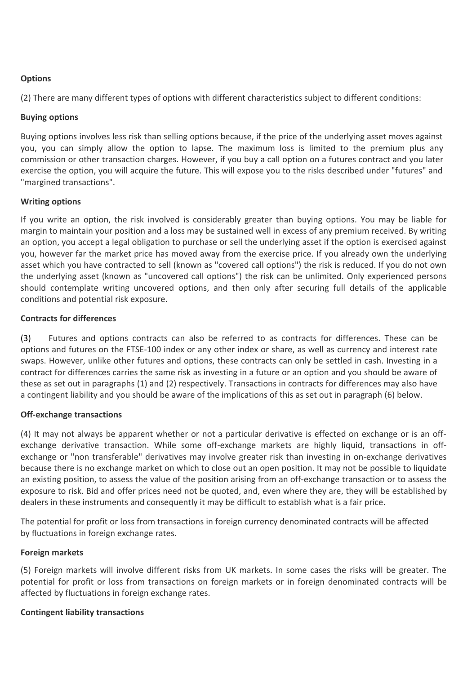# **Options**

(2) There are many different types of options with different characteristics subject to different conditions:

## **Buying options**

Buying options involves less risk than selling options because, if the price of the underlying asset moves against you, you can simply allow the option to lapse. The maximum loss is limited to the premium plus any commission or other transaction charges. However, if you buy a call option on a futures contract and you later exercise the option, you will acquire the future. This will expose you to the risks described under "futures" and "margined transactions".

#### **Writing options**

If you write an option, the risk involved is considerably greater than buying options. You may be liable for margin to maintain your position and a loss may be sustained well in excess of any premium received. By writing an option, you accept a legal obligation to purchase or sell the underlying asset if the option is exercised against you, however far the market price has moved away from the exercise price. If you already own the underlying asset which you have contracted to sell (known as "covered call options") the risk is reduced. If you do not own the underlying asset (known as "uncovered call options") the risk can be unlimited. Only experienced persons should contemplate writing uncovered options, and then only after securing full details of the applicable conditions and potential risk exposure.

#### **Contracts for differences**

(3) Futures and options contracts can also be referred to as contracts for differences. These can be options and futures on the FTSE-100 index or any other index or share, as well as currency and interest rate swaps. However, unlike other futures and options, these contracts can only be settled in cash. Investing in a contract for differences carries the same risk as investing in a future or an option and you should be aware of these as set out in paragraphs (1) and (2) respectively. Transactions in contracts for differences may also have a contingent liability and you should be aware of the implications of this as set out in paragraph (6) below.

#### **Off-exchange transactions**

(4) It may not always be apparent whether or not a particular derivative is effected on exchange or is an offexchange derivative transaction. While some off-exchange markets are highly liquid, transactions in offexchange or "non transferable" derivatives may involve greater risk than investing in on-exchange derivatives because there is no exchange market on which to close out an open position. It may not be possible to liquidate an existing position, to assess the value of the position arising from an off-exchange transaction or to assess the exposure to risk. Bid and offer prices need not be quoted, and, even where they are, they will be established by dealers in these instruments and consequently it may be difficult to establish what is a fair price.

The potential for profit or loss from transactions in foreign currency denominated contracts will be affected by fluctuations in foreign exchange rates.

#### **Foreign markets**

(5) Foreign markets will involve different risks from UK markets. In some cases the risks will be greater. The potential for profit or loss from transactions on foreign markets or in foreign denominated contracts will be affected by fluctuations in foreign exchange rates.

#### **Contingent liability transactions**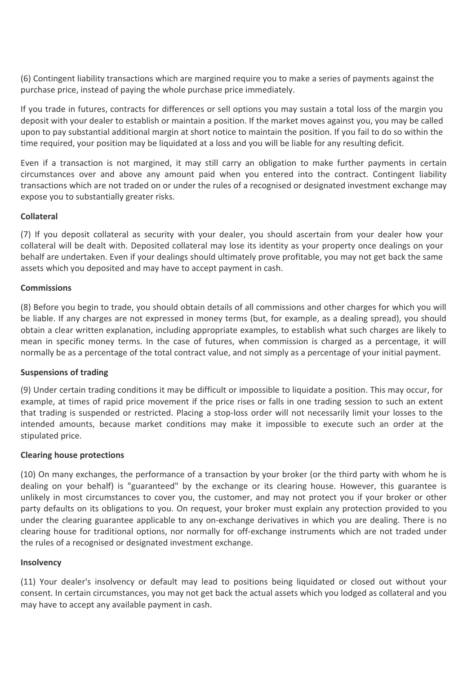(6) Contingent liability transactions which are margined require you to make a series of payments against the purchase price, instead of paying the whole purchase price immediately.

If you trade in futures, contracts for differences or sell options you may sustain a total loss of the margin you deposit with your dealer to establish or maintain a position. If the market moves against you, you may be called upon to pay substantial additional margin at short notice to maintain the position. If you fail to do so within the time required, your position may be liquidated at a loss and you will be liable for any resulting deficit.

Even if a transaction is not margined, it may still carry an obligation to make further payments in certain circumstances over and above any amount paid when you entered into the contract. Contingent liability transactions which are not traded on or under the rules of a recognised or designated investment exchange may expose you to substantially greater risks.

# **Collateral**

(7) If you deposit collateral as security with your dealer, you should ascertain from your dealer how your collateral will be dealt with. Deposited collateral may lose its identity as your property once dealings on your behalf are undertaken. Even if your dealings should ultimately prove profitable, you may not get back the same assets which you deposited and may have to accept payment in cash.

#### **Commissions**

(8) Before you begin to trade, you should obtain details of all commissions and other charges for which you will be liable. If any charges are not expressed in money terms (but, for example, as a dealing spread), you should obtain a clear written explanation, including appropriate examples, to establish what such charges are likely to mean in specific money terms. In the case of futures, when commission is charged as a percentage, it will normally be as a percentage of the total contract value, and not simply as a percentage of your initial payment.

#### **Suspensions of trading**

(9) Under certain trading conditions it may be difficult or impossible to liquidate a position. This may occur, for example, at times of rapid price movement if the price rises or falls in one trading session to such an extent that trading is suspended or restricted. Placing a stop-loss order will not necessarily limit your losses to the intended amounts, because market conditions may make it impossible to execute such an order at the stipulated price.

#### **Clearing house protections**

(10) On many exchanges, the performance of a transaction by your broker (or the third party with whom he is dealing on your behalf) is "guaranteed" by the exchange or its clearing house. However, this guarantee is unlikely in most circumstances to cover you, the customer, and may not protect you if your broker or other party defaults on its obligations to you. On request, your broker must explain any protection provided to you under the clearing guarantee applicable to any on-exchange derivatives in which you are dealing. There is no clearing house for traditional options, nor normally for off-exchange instruments which are not traded under the rules of a recognised or designated investment exchange.

#### **Insolvency**

(11) Your dealer's insolvency or default may lead to positions being liquidated or closed out without your consent. In certain circumstances, you may not get back the actual assets which you lodged as collateral and you may have to accept any available payment in cash.